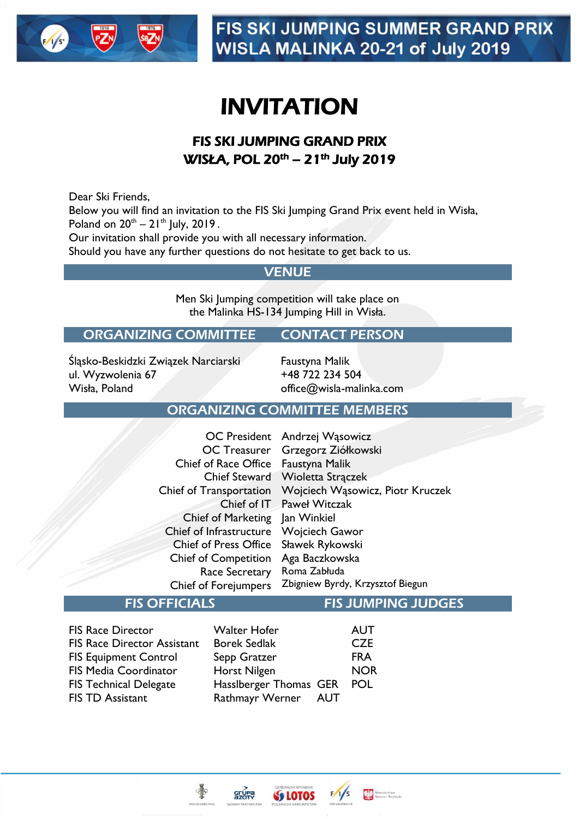

# INVITATION

# FIS SKI JUMPING GRAND PRIX WISŁA, POL 20<sup>th</sup> – 21<sup>th</sup> July 2019

Dear Ski Friends,

Below you will find an invitation to the FIS Ski Jumping Grand Prix event held in Wisła, Poland on  $20^{th} - 21^{th}$  July,  $2019$ .

Our invitation shall provide you with all necessary information.

Should you have any further questions do not hesitate to get back to us.

#### **VENUE**

Men Ski Jumping competition will take place on the Malinka HS-134 Jumping Hill in Wisła.

#### ORGANIZING COMMITTEE CONTACT PERSON

Śląsko-Beskidzki Związek Narciarski ul. Wyzwolenia 67 Wisła, Poland

Faustyna Malik +48 722 234 504 office@wisla-malinka.com

#### ORGANIZING COMMITTEE MEMBERS

|                                | OC President Andrzej Wąsowicz    |
|--------------------------------|----------------------------------|
| <b>OC Treasurer</b>            | Grzegorz Ziółkowski              |
| <b>Chief of Race Office</b>    | Faustyna Malik                   |
| <b>Chief Steward</b>           | Wioletta Strączek                |
| <b>Chief of Transportation</b> | Wojciech Wąsowicz, Piotr Kruczek |
|                                | Chief of IT Paweł Witczak        |
| <b>Chief of Marketing</b>      | Jan Winkiel                      |
| Chief of Infrastructure        | Wojciech Gawor                   |
| <b>Chief of Press Office</b>   | Sławek Rykowski                  |
| <b>Chief of Competition</b>    | Aga Baczkowska                   |
| Race Secretary                 | Roma Zabłuda                     |
| <b>Chief of Forejumpers</b>    | Zbigniew Byrdy, Krzysztof Biegun |
|                                |                                  |

#### FIS OFFICIALS FIS JUMPING JUDGES

Ministerstwo<br>Way Sportu i Turystyk

AUT **CZE** FRA NOR POL

| <b>Walter Hofer</b>       |
|---------------------------|
| <b>Borek Sedlak</b>       |
| Sepp Gratzer              |
| Horst Nilgen              |
| <b>Hassiberger Thomas</b> |
| Rathmayr Werner           |
|                           |



 $gr<sub>MR</sub>$ 

GER **AUT**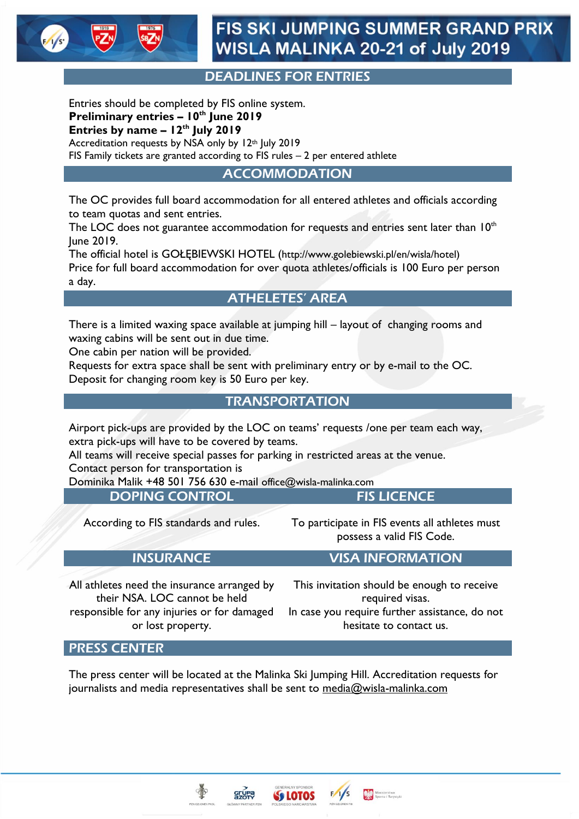

### DEADLINES FOR ENTRIES

Entries should be completed by FIS online system. **Preliminary entries – 10th June 2019 Entries by name – 12th July 2019** Accreditation requests by NSA only by 12<sup>th</sup> July 2019

FIS Family tickets are granted according to FIS rules – 2 per entered athlete

ACCOMMODATION

The OC provides full board accommodation for all entered athletes and officials according to team quotas and sent entries.

The LOC does not guarantee accommodation for requests and entries sent later than  $10<sup>th</sup>$ June 2019.

The official hotel is GOŁĘBIEWSKI HOTEL (http://www.golebiewski.pl/en/wisla/hotel) Price for full board accommodation for over quota athletes/officials is 100 Euro per person a day.

#### ATHELETES' AREA

There is a limited waxing space available at jumping hill – layout of changing rooms and waxing cabins will be sent out in due time.

One cabin per nation will be provided.

Requests for extra space shall be sent with preliminary entry or by e-mail to the OC. Deposit for changing room key is 50 Euro per key.

#### **TRANSPORTATION**

Airport pick-ups are provided by the LOC on teams' requests /one per team each way, extra pick-ups will have to be covered by teams.

All teams will receive special passes for parking in restricted areas at the venue.

Contact person for transportation is

Dominika Malik +48 501 756 630 e-mail office@wisla-malinka.com

DOPING CONTROL FIS LICENCE

According to FIS standards and rules. To participate in FIS events all athletes must possess a valid FIS Code.

#### INSURANCE VISA INFORMATION

All athletes need the insurance arranged by their NSA. LOC cannot be held responsible for any injuries or for damaged or lost property.

This invitation should be enough to receive required visas. In case you require further assistance, do not

hesitate to contact us.

Ministerstwo<br>Way Sportu i Turystyk

#### PRESS CENTER

The press center will be located at the Malinka Ski Jumping Hill. Accreditation requests for journalists and media representatives shall be sent to [media@wisla-malinka.com](mailto:media@wisla-malinka.com)